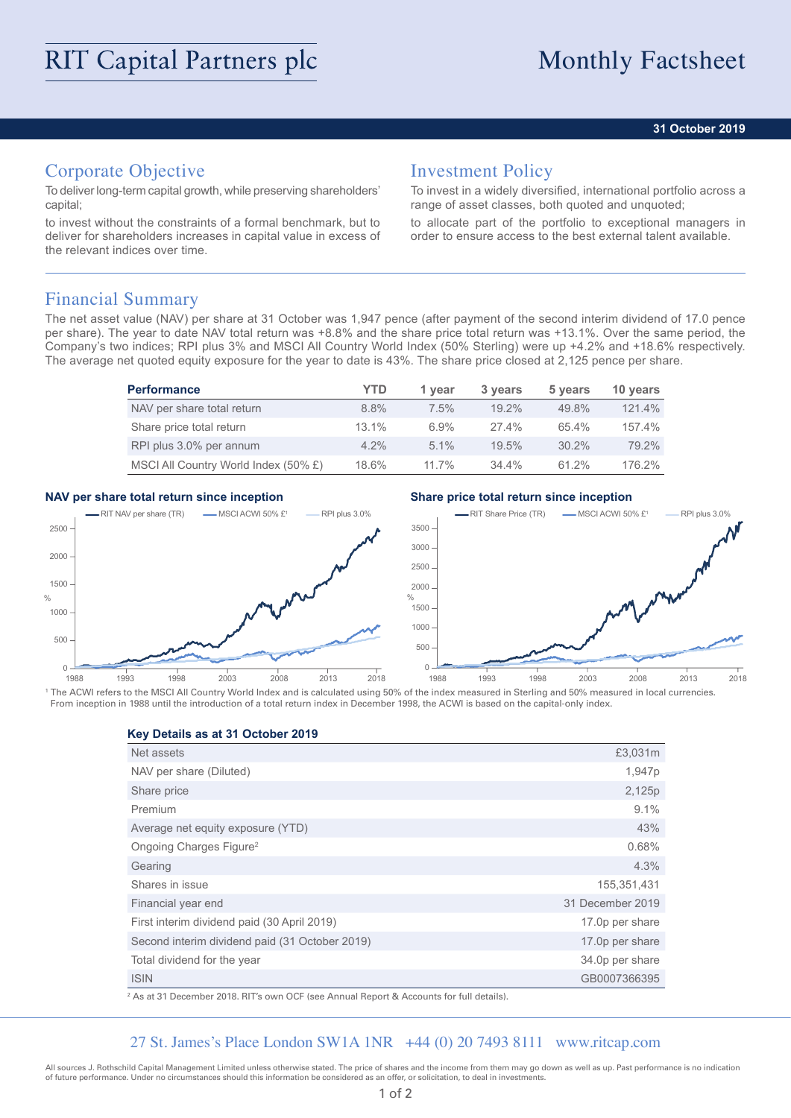## **31 October 2019**

# Corporate Objective

To deliver long-term capital growth, while preserving shareholders' capital;

to invest without the constraints of a formal benchmark, but to deliver for shareholders increases in capital value in excess of the relevant indices over time.

# Investment Policy

To invest in a widely diversified, international portfolio across a range of asset classes, both quoted and unquoted;

to allocate part of the portfolio to exceptional managers in order to ensure access to the best external talent available.

## Financial Summary

The net asset value (NAV) per share at 31 October was 1,947 pence (after payment of the second interim dividend of 17.0 pence per share). The year to date NAV total return was +8.8% and the share price total return was +13.1%. Over the same period, the Company's two indices; RPI plus 3% and MSCI All Country World Index (50% Sterling) were up +4.2% and +18.6% respectively. The average net quoted equity exposure for the year to date is 43%. The share price closed at 2,125 pence per share.

| <b>Performance</b>                   | YTD      | 1 year   | 3 years  | 5 years  | 10 years |
|--------------------------------------|----------|----------|----------|----------|----------|
| NAV per share total return           | $8.8\%$  | 7.5%     | $19.2\%$ | 49.8%    | 121.4%   |
| Share price total return             | $13.1\%$ | 6.9%     | $27.4\%$ | 65.4%    | 157.4%   |
| RPI plus 3.0% per annum              | $4.2\%$  | $5.1\%$  | 19.5%    | $30.2\%$ | 79.2%    |
| MSCI All Country World Index (50% £) | 18.6%    | $11.7\%$ | $34.4\%$ | 61.2%    | 176.2%   |

## **NAV per share total return since inception Share price total return since inception**



<sup>1</sup> The ACWI refers to the MSCI All Country World Index and is calculated using 50% of the index measured in Sterling and 50% measured in local currencies. From inception in 1988 until the introduction of a total return index in December 1998, the ACWI is based on the capital-only index.

**Key Details as at 31 October 2019**

| Net assets                                     | £3,031m          |
|------------------------------------------------|------------------|
| NAV per share (Diluted)                        | 1,947p           |
| Share price                                    | 2,125p           |
| Premium                                        | 9.1%             |
| Average net equity exposure (YTD)              | 43%              |
| Ongoing Charges Figure <sup>2</sup>            | 0.68%            |
| Gearing                                        | 4.3%             |
| Shares in issue                                | 155,351,431      |
| Financial year end                             | 31 December 2019 |
| First interim dividend paid (30 April 2019)    | 17.0p per share  |
| Second interim dividend paid (31 October 2019) | 17.0p per share  |
| Total dividend for the year                    | 34.0p per share  |
| <b>ISIN</b>                                    | GB0007366395     |
|                                                |                  |

2 As at 31 December 2018. RIT's own OCF (see Annual Report & Accounts for full details).

## 27 St. James's Place London SW1A 1NR +44 (0) 20 7493 8111 www.ritcap.com

All sources J. Rothschild Capital Management Limited unless otherwise stated. The price of shares and the income from them may go down as well as up. Past performance is no indication of future performance. Under no circumstances should this information be considered as an offer, or solicitation, to deal in investments.